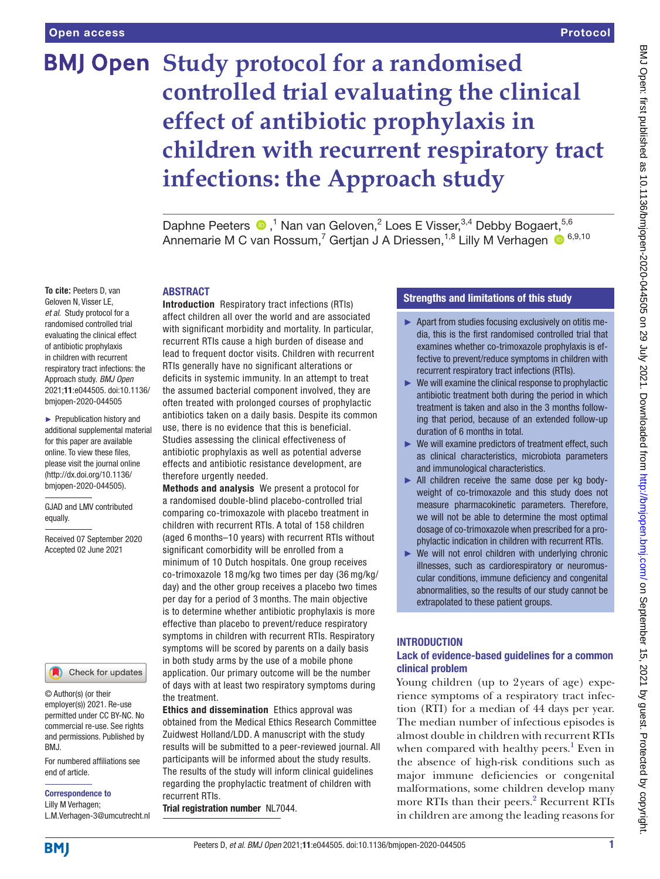# **BMJ Open Study protocol for a randomised controlled trial evaluating the clinical effect of antibiotic prophylaxis in children with recurrent respiratory tract infections: the Approach study**

Daphne Peeters  $\bullet$ ,<sup>1</sup> Nan van Geloven,<sup>2</sup> Loes E Visser,<sup>3,4</sup> Debby Bogaert,<sup>5,6</sup> Annemarie M C van Rossum,<sup>7</sup> Gertjan J A Driessen,<sup>1,8</sup> Lilly M Verhagen ® <sup>6,9,10</sup>

#### ABSTRACT

**To cite:** Peeters D, van Geloven N, Visser LE, *et al*. Study protocol for a randomised controlled trial evaluating the clinical effect of antibiotic prophylaxis in children with recurrent respiratory tract infections: the Approach study. *BMJ Open* 2021;11:e044505. doi:10.1136/ bmjopen-2020-044505

► Prepublication history and additional supplemental material for this paper are available online. To view these files, please visit the journal online (http://dx.doi.org/10.1136/ bmjopen-2020-044505).

GJAD and LMV contributed equally.

Received 07 September 2020 Accepted 02 June 2021



© Author(s) (or their employer(s)) 2021. Re-use permitted under CC BY-NC. No commercial re-use. See rights and permissions. Published by BMJ.

For numbered affiliations see end of article.

Correspondence to Lilly M Verhagen; L.M.Verhagen-3@umcutrecht.nl

Introduction Respiratory tract infections (RTIs) affect children all over the world and are associated with significant morbidity and mortality. In particular, recurrent RTIs cause a high burden of disease and lead to frequent doctor visits. Children with recurrent RTIs generally have no significant alterations or deficits in systemic immunity. In an attempt to treat the assumed bacterial component involved, they are often treated with prolonged courses of prophylactic antibiotics taken on a daily basis. Despite its common use, there is no evidence that this is beneficial. Studies assessing the clinical effectiveness of antibiotic prophylaxis as well as potential adverse effects and antibiotic resistance development, are therefore urgently needed.

Methods and analysis We present a protocol for a randomised double-blind placebo-controlled trial comparing co-trimoxazole with placebo treatment in children with recurrent RTIs. A total of 158 children (aged 6 months–10 years) with recurrent RTIs without significant comorbidity will be enrolled from a minimum of 10 Dutch hospitals. One group receives co-trimoxazole 18 mg/kg two times per day (36 mg/kg/ day) and the other group receives a placebo two times per day for a period of 3 months. The main objective is to determine whether antibiotic prophylaxis is more effective than placebo to prevent/reduce respiratory symptoms in children with recurrent RTIs. Respiratory symptoms will be scored by parents on a daily basis in both study arms by the use of a mobile phone application. Our primary outcome will be the number of days with at least two respiratory symptoms during the treatment.

Ethics and dissemination Ethics approval was obtained from the Medical Ethics Research Committee Zuidwest Holland/LDD. A manuscript with the study results will be submitted to a peer-reviewed journal. All participants will be informed about the study results. The results of the study will inform clinical guidelines regarding the prophylactic treatment of children with recurrent RTIs.

Trial registration number NL7044.

# Strengths and limitations of this study

- ► Apart from studies focusing exclusively on otitis media, this is the first randomised controlled trial that examines whether co-trimoxazole prophylaxis is effective to prevent/reduce symptoms in children with recurrent respiratory tract infections (RTIs).
- $\blacktriangleright$  We will examine the clinical response to prophylactic antibiotic treatment both during the period in which treatment is taken and also in the 3 months following that period, because of an extended follow-up duration of 6 months in total.
- ► We will examine predictors of treatment effect, such as clinical characteristics, microbiota parameters and immunological characteristics.
- ► All children receive the same dose per kg bodyweight of co-trimoxazole and this study does not measure pharmacokinetic parameters. Therefore, we will not be able to determine the most optimal dosage of co-trimoxazole when prescribed for a prophylactic indication in children with recurrent RTIs.
- ► We will not enrol children with underlying chronic illnesses, such as cardiorespiratory or neuromuscular conditions, immune deficiency and congenital abnormalities, so the results of our study cannot be extrapolated to these patient groups.

# **INTRODUCTION**

## Lack of evidence-based guidelines for a common clinical problem

Young children (up to 2years of age) experience symptoms of a respiratory tract infection (RTI) for a median of 44 days per year. The median number of infectious episodes is almost double in children with recurrent RTIs when compared with healthy peers.<sup>[1](#page-6-0)</sup> Even in the absence of high-risk conditions such as major immune deficiencies or congenital malformations, some children develop many more RTIs than their peers.<sup>[2](#page-6-1)</sup> Recurrent RTIs in children are among the leading reasons for

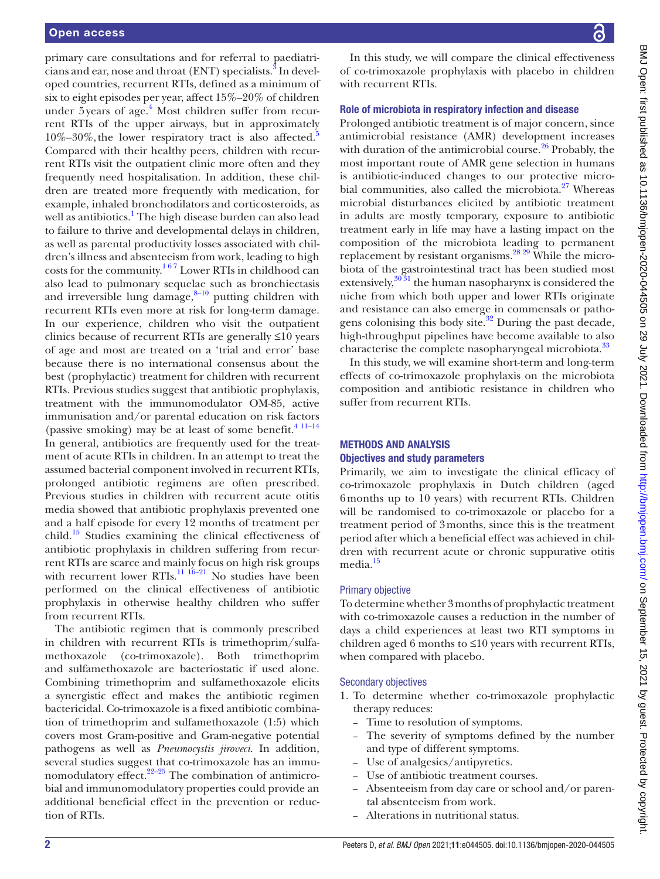primary care consultations and for referral to paediatricians and ear, nose and throat (ENT) specialists. $^{\text{3}}$  $^{\text{3}}$  $^{\text{3}}$  In developed countries, recurrent RTIs, defined as a minimum of six to eight episodes per year, affect 15%–20% of children under 5years of age.<sup>4</sup> Most children suffer from recurrent RTIs of the upper airways, but in approximately  $10\% - 30\%$ , the lower respiratory tract is also affected.<sup>[5](#page-6-4)</sup> Compared with their healthy peers, children with recurrent RTIs visit the outpatient clinic more often and they frequently need hospitalisation. In addition, these children are treated more frequently with medication, for example, inhaled bronchodilators and corticosteroids, as well as antibiotics.<sup>[1](#page-6-0)</sup> The high disease burden can also lead to failure to thrive and developmental delays in children, as well as parental productivity losses associated with children's illness and absenteeism from work, leading to high costs for the community.<sup>167</sup> Lower RTIs in childhood can also lead to pulmonary sequelae such as bronchiectasis and irreversible lung damage, $8-10$  putting children with recurrent RTIs even more at risk for long-term damage. In our experience, children who visit the outpatient clinics because of recurrent RTIs are generally ≤10 years of age and most are treated on a 'trial and error' base because there is no international consensus about the best (prophylactic) treatment for children with recurrent RTIs. Previous studies suggest that antibiotic prophylaxis, treatment with the immunomodulator OM-85, active immunisation and/or parental education on risk factors (passive smoking) may be at least of some benefit.<sup>4 11-14</sup> In general, antibiotics are frequently used for the treatment of acute RTIs in children. In an attempt to treat the assumed bacterial component involved in recurrent RTIs, prolonged antibiotic regimens are often prescribed. Previous studies in children with recurrent acute otitis media showed that antibiotic prophylaxis prevented one and a half episode for every 12 months of treatment per child. $15$  Studies examining the clinical effectiveness of antibiotic prophylaxis in children suffering from recurrent RTIs are scarce and mainly focus on high risk groups with recurrent lower RTIs.<sup>11 16-21</sup> No studies have been performed on the clinical effectiveness of antibiotic prophylaxis in otherwise healthy children who suffer from recurrent RTIs.

The antibiotic regimen that is commonly prescribed in children with recurrent RTIs is trimethoprim/sulfamethoxazole (co-trimoxazole). Both trimethoprim and sulfamethoxazole are bacteriostatic if used alone. Combining trimethoprim and sulfamethoxazole elicits a synergistic effect and makes the antibiotic regimen bactericidal. Co-trimoxazole is a fixed antibiotic combination of trimethoprim and sulfamethoxazole (1:5) which covers most Gram-positive and Gram-negative potential pathogens as well as *Pneumocystis jiroveci*. In addition, several studies suggest that co-trimoxazole has an immunomodulatory effect. $22-25$  The combination of antimicrobial and immunomodulatory properties could provide an additional beneficial effect in the prevention or reduction of RTIs.

In this study, we will compare the clinical effectiveness of co-trimoxazole prophylaxis with placebo in children with recurrent RTIs.

#### Role of microbiota in respiratory infection and disease

Prolonged antibiotic treatment is of major concern, since antimicrobial resistance (AMR) development increases with duration of the antimicrobial course. $26$  Probably, the most important route of AMR gene selection in humans is antibiotic-induced changes to our protective microbial communities, also called the microbiota. $27$  Whereas microbial disturbances elicited by antibiotic treatment in adults are mostly temporary, exposure to antibiotic treatment early in life may have a lasting impact on the composition of the microbiota leading to permanent replacement by resistant organisms.<sup>28 29</sup> While the microbiota of the gastrointestinal tract has been studied most extensively, $30\,31$  the human nasopharynx is considered the niche from which both upper and lower RTIs originate and resistance can also emerge in commensals or patho-gens colonising this body site.<sup>[32](#page-6-13)</sup> During the past decade, high-throughput pipelines have become available to also characterise the complete nasopharyngeal microbiota.<sup>33</sup>

In this study, we will examine short-term and long-term effects of co-trimoxazole prophylaxis on the microbiota composition and antibiotic resistance in children who suffer from recurrent RTIs.

#### METHODS AND ANALYSIS Objectives and study parameters

Primarily, we aim to investigate the clinical efficacy of co-trimoxazole prophylaxis in Dutch children (aged 6months up to 10 years) with recurrent RTIs. Children will be randomised to co-trimoxazole or placebo for a treatment period of 3months, since this is the treatment period after which a beneficial effect was achieved in children with recurrent acute or chronic suppurative otitis media.<sup>15</sup>

#### Primary objective

To determine whether 3months of prophylactic treatment with co-trimoxazole causes a reduction in the number of days a child experiences at least two RTI symptoms in children aged 6 months to  $\leq 10$  years with recurrent RTIs, when compared with placebo.

#### Secondary objectives

- 1. To determine whether co-trimoxazole prophylactic therapy reduces:
	- Time to resolution of symptoms.
	- The severity of symptoms defined by the number and type of different symptoms.
	- Use of analgesics/antipyretics.
	- Use of antibiotic treatment courses.
	- Absenteeism from day care or school and/or parental absenteeism from work.
	- Alterations in nutritional status.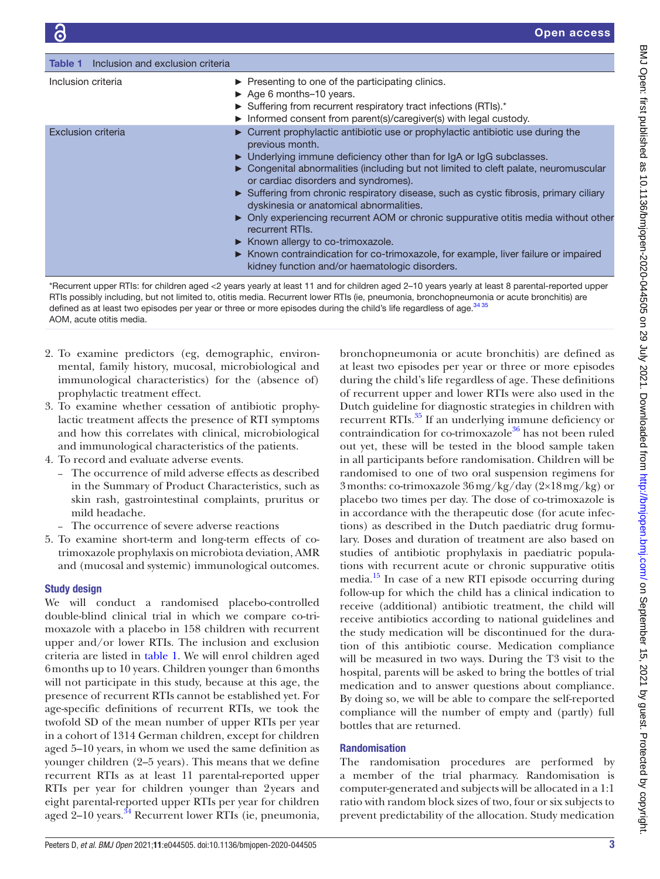<span id="page-2-0"></span>

| Table 1<br>Inclusion and exclusion criteria |                                                                                                                                                                                                                                                                                                                                                                                                                                                                                                                                                                                                                                                                                                                                                       |
|---------------------------------------------|-------------------------------------------------------------------------------------------------------------------------------------------------------------------------------------------------------------------------------------------------------------------------------------------------------------------------------------------------------------------------------------------------------------------------------------------------------------------------------------------------------------------------------------------------------------------------------------------------------------------------------------------------------------------------------------------------------------------------------------------------------|
| Inclusion criteria                          | $\triangleright$ Presenting to one of the participating clinics.<br>$\triangleright$ Age 6 months-10 years.<br>Suffering from recurrent respiratory tract infections (RTIs).*<br>Informed consent from parent(s)/caregiver(s) with legal custody.                                                                                                                                                                                                                                                                                                                                                                                                                                                                                                     |
| <b>Exclusion criteria</b>                   | • Current prophylactic antibiotic use or prophylactic antibiotic use during the<br>previous month.<br>• Underlying immune deficiency other than for IgA or IgG subclasses.<br>► Congenital abnormalities (including but not limited to cleft palate, neuromuscular<br>or cardiac disorders and syndromes).<br>Suffering from chronic respiratory disease, such as cystic fibrosis, primary ciliary<br>dyskinesia or anatomical abnormalities.<br>• Only experiencing recurrent AOM or chronic suppurative otitis media without other<br>recurrent RTIs.<br>$\triangleright$ Known allergy to co-trimoxazole.<br>► Known contraindication for co-trimoxazole, for example, liver failure or impaired<br>kidney function and/or haematologic disorders. |

\*Recurrent upper RTIs: for children aged <2 years yearly at least 11 and for children aged 2–10 years yearly at least 8 parental-reported upper RTIs possibly including, but not limited to, otitis media. Recurrent lower RTIs (ie, pneumonia, bronchopneumonia or acute bronchitis) are defined as at least two episodes per year or three or more episodes during the child's life regardless of age. $^{34}$   $^{35}$ AOM, acute otitis media.

- 2. To examine predictors (eg, demographic, environmental, family history, mucosal, microbiological and immunological characteristics) for the (absence of) prophylactic treatment effect.
- 3. To examine whether cessation of antibiotic prophylactic treatment affects the presence of RTI symptoms and how this correlates with clinical, microbiological and immunological characteristics of the patients.
- 4. To record and evaluate adverse events.
	- The occurrence of mild adverse effects as described in the Summary of Product Characteristics, such as skin rash, gastrointestinal complaints, pruritus or mild headache.
	- The occurrence of severe adverse reactions
- 5. To examine short-term and long-term effects of cotrimoxazole prophylaxis on microbiota deviation, AMR and (mucosal and systemic) immunological outcomes.

## Study design

We will conduct a randomised placebo-controlled double-blind clinical trial in which we compare co-trimoxazole with a placebo in 158 children with recurrent upper and/or lower RTIs. The inclusion and exclusion criteria are listed in [table](#page-2-0) 1. We will enrol children aged 6months up to 10 years. Children younger than 6months will not participate in this study, because at this age, the presence of recurrent RTIs cannot be established yet. For age-specific definitions of recurrent RTIs, we took the twofold SD of the mean number of upper RTIs per year in a cohort of 1314 German children, except for children aged 5–10 years, in whom we used the same definition as younger children (2–5 years). This means that we define recurrent RTIs as at least 11 parental-reported upper RTIs per year for children younger than 2years and eight parental-reported upper RTIs per year for children aged 2-10 years.<sup>34</sup> Recurrent lower RTIs (ie, pneumonia,

bronchopneumonia or acute bronchitis) are defined as at least two episodes per year or three or more episodes during the child's life regardless of age. These definitions of recurrent upper and lower RTIs were also used in the Dutch guideline for diagnostic strategies in children with recurrent RTIs.<sup>[35](#page-6-16)</sup> If an underlying immune deficiency or contraindication for co-trimoxazole<sup>[36](#page-6-17)</sup> has not been ruled out yet, these will be tested in the blood sample taken in all participants before randomisation. Children will be randomised to one of two oral suspension regimens for 3months: co-trimoxazole 36mg/kg/day (2×18mg/kg) or placebo two times per day. The dose of co-trimoxazole is in accordance with the therapeutic dose (for acute infections) as described in the Dutch paediatric drug formulary. Doses and duration of treatment are also based on studies of antibiotic prophylaxis in paediatric populations with recurrent acute or chronic suppurative otitis media.[15](#page-6-6) In case of a new RTI episode occurring during follow-up for which the child has a clinical indication to receive (additional) antibiotic treatment, the child will receive antibiotics according to national guidelines and the study medication will be discontinued for the duration of this antibiotic course. Medication compliance will be measured in two ways. During the T3 visit to the hospital, parents will be asked to bring the bottles of trial medication and to answer questions about compliance. By doing so, we will be able to compare the self-reported compliance will the number of empty and (partly) full bottles that are returned.

### Randomisation

The randomisation procedures are performed by a member of the trial pharmacy. Randomisation is computer-generated and subjects will be allocated in a 1:1 ratio with random block sizes of two, four or six subjects to prevent predictability of the allocation. Study medication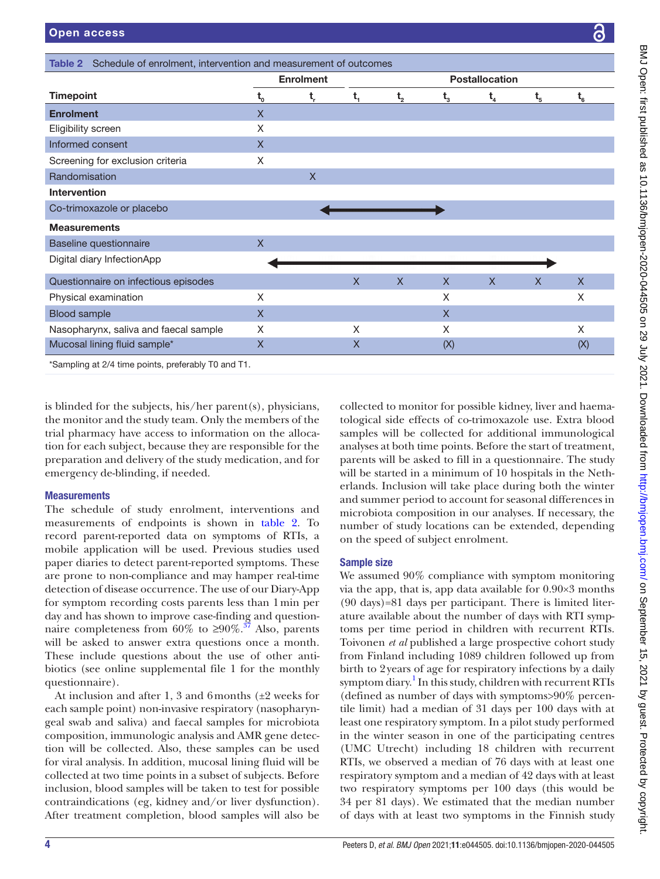<span id="page-3-0"></span>

|                                       | <b>Enrolment</b>        |                         | <b>Postallocation</b>   |         |         |             |                             |              |
|---------------------------------------|-------------------------|-------------------------|-------------------------|---------|---------|-------------|-----------------------------|--------------|
| <b>Timepoint</b>                      | $t_{o}$                 | t,                      | $t_{1}$                 | $t_{2}$ | $t_{3}$ | $t_{4}$     | $t_{\scriptscriptstyle{5}}$ | $t_{6}$      |
| <b>Enrolment</b>                      | $\mathsf{X}$            |                         |                         |         |         |             |                             |              |
| Eligibility screen                    | X                       |                         |                         |         |         |             |                             |              |
| Informed consent                      | $\mathsf X$             |                         |                         |         |         |             |                             |              |
| Screening for exclusion criteria      | X                       |                         |                         |         |         |             |                             |              |
| Randomisation                         |                         | $\overline{\mathsf{X}}$ |                         |         |         |             |                             |              |
| <b>Intervention</b>                   |                         |                         |                         |         |         |             |                             |              |
| Co-trimoxazole or placebo             |                         |                         |                         |         |         |             |                             |              |
| <b>Measurements</b>                   |                         |                         |                         |         |         |             |                             |              |
| Baseline questionnaire                | $\mathsf{x}$            |                         |                         |         |         |             |                             |              |
| Digital diary InfectionApp            |                         |                         |                         |         |         |             |                             |              |
| Questionnaire on infectious episodes  |                         |                         | $\mathsf{X}$            | $\sf X$ | X       | $\mathsf X$ | $\mathsf X$                 | $\mathsf{X}$ |
| Physical examination                  | X                       |                         |                         |         | X       |             |                             | X            |
| <b>Blood sample</b>                   | $\mathsf{X}$            |                         |                         |         | X       |             |                             |              |
| Nasopharynx, saliva and faecal sample | X                       |                         | X                       |         | X       |             |                             | X            |
| Mucosal lining fluid sample*          | $\overline{\mathsf{X}}$ |                         | $\overline{\mathsf{X}}$ |         | (X)     |             |                             | (X)          |

**Measurements** 

The schedule of study enrolment, interventions and measurements of endpoints is shown in [table](#page-3-0) 2. To record parent-reported data on symptoms of RTIs, a mobile application will be used. Previous studies used paper diaries to detect parent-reported symptoms. These are prone to non-compliance and may hamper real-time detection of disease occurrence. The use of our Diary-App for symptom recording costs parents less than 1min per day and has shown to improve case-finding and questionnaire completeness from 60% to  $\geq 90\%$ .<sup>37</sup> Also, parents will be asked to answer extra questions once a month. These include questions about the use of other antibiotics (see [online supplemental file 1](https://dx.doi.org/10.1136/bmjopen-2020-044505) for the monthly questionnaire).

At inclusion and after 1, 3 and 6 months  $(\pm 2$  weeks for each sample point) non-invasive respiratory (nasopharyngeal swab and saliva) and faecal samples for microbiota composition, immunologic analysis and AMR gene detection will be collected. Also, these samples can be used for viral analysis. In addition, mucosal lining fluid will be collected at two time points in a subset of subjects. Before inclusion, blood samples will be taken to test for possible contraindications (eg, kidney and/or liver dysfunction). After treatment completion, blood samples will also be

will be started in a minimum of 10 hospitals in the Netherlands. Inclusion will take place during both the winter and summer period to account for seasonal differences in microbiota composition in our analyses. If necessary, the number of study locations can be extended, depending on the speed of subject enrolment.

#### Sample size

We assumed  $90\%$  compliance with symptom monitoring via the app, that is, app data available for 0.90×3 months (90 days)=81 days per participant. There is limited literature available about the number of days with RTI symptoms per time period in children with recurrent RTIs. Toivonen *et al* published a large prospective cohort study from Finland including 1089 children followed up from birth to 2years of age for respiratory infections by a daily symptom diary.<sup>1</sup> In this study, children with recurrent RTIs (defined as number of days with symptoms>90% percentile limit) had a median of 31 days per 100 days with at least one respiratory symptom. In a pilot study performed in the winter season in one of the participating centres (UMC Utrecht) including 18 children with recurrent RTIs, we observed a median of 76 days with at least one respiratory symptom and a median of 42 days with at least two respiratory symptoms per 100 days (this would be 34 per 81 days). We estimated that the median number of days with at least two symptoms in the Finnish study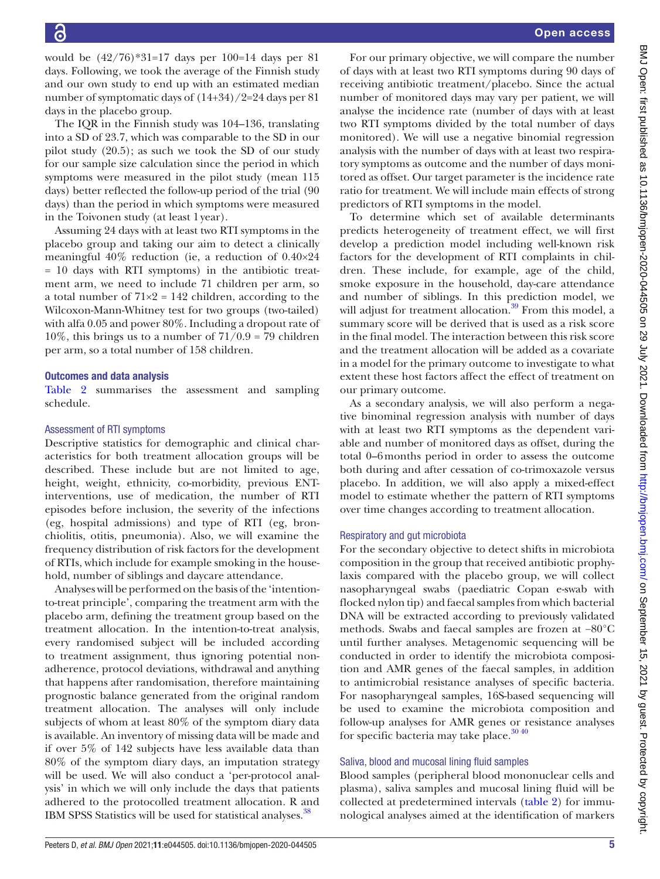would be  $(42/76)*31=17$  days per  $100=14$  days per 81 days. Following, we took the average of the Finnish study and our own study to end up with an estimated median number of symptomatic days of (14+34)/2=24 days per 81 days in the placebo group.

The IQR in the Finnish study was 104–136, translating into a SD of 23.7, which was comparable to the SD in our pilot study (20.5); as such we took the SD of our study for our sample size calculation since the period in which symptoms were measured in the pilot study (mean 115 days) better reflected the follow-up period of the trial (90 days) than the period in which symptoms were measured in the Toivonen study (at least 1year).

Assuming 24 days with at least two RTI symptoms in the placebo group and taking our aim to detect a clinically meaningful 40% reduction (ie, a reduction of 0.40×24 = 10 days with RTI symptoms) in the antibiotic treatment arm, we need to include 71 children per arm, so a total number of  $71\times2 = 142$  children, according to the Wilcoxon-Mann-Whitney test for two groups (two-tailed) with alfa 0.05 and power 80%. Including a dropout rate of 10%, this brings us to a number of  $71/0.9 = 79$  children per arm, so a total number of 158 children.

#### Outcomes and data analysis

[Table](#page-3-0) 2 summarises the assessment and sampling schedule.

#### Assessment of RTI symptoms

Descriptive statistics for demographic and clinical characteristics for both treatment allocation groups will be described. These include but are not limited to age, height, weight, ethnicity, co-morbidity, previous ENTinterventions, use of medication, the number of RTI episodes before inclusion, the severity of the infections (eg, hospital admissions) and type of RTI (eg, bronchiolitis, otitis, pneumonia). Also, we will examine the frequency distribution of risk factors for the development of RTIs, which include for example smoking in the household, number of siblings and daycare attendance.

Analyses will be performed on the basis of the 'intentionto-treat principle', comparing the treatment arm with the placebo arm, defining the treatment group based on the treatment allocation. In the intention-to-treat analysis, every randomised subject will be included according to treatment assignment, thus ignoring potential nonadherence, protocol deviations, withdrawal and anything that happens after randomisation, therefore maintaining prognostic balance generated from the original random treatment allocation. The analyses will only include subjects of whom at least 80% of the symptom diary data is available. An inventory of missing data will be made and if over 5% of 142 subjects have less available data than 80% of the symptom diary days, an imputation strategy will be used. We will also conduct a 'per-protocol analysis' in which we will only include the days that patients adhered to the protocolled treatment allocation. R and IBM SPSS Statistics will be used for statistical analyses.<sup>[38](#page-6-19)</sup>

BMJ Open: first published as 10.1136/bmjopen-2020-044505 on 29 July 2021. Downloaded from http://bmjopen.bmj.com/ on September 15, 2021 by guest. Protected by copyright BMJ Open: first published as 10.1136/bmjopen-2020-044505 on 29 July 2021. Downloaded from <http://bmjopen.bmj.com/> on September 15, 2021 by guest. Protected by copyright.

For our primary objective, we will compare the number of days with at least two RTI symptoms during 90 days of receiving antibiotic treatment/placebo. Since the actual number of monitored days may vary per patient, we will analyse the incidence rate (number of days with at least two RTI symptoms divided by the total number of days monitored). We will use a negative binomial regression analysis with the number of days with at least two respiratory symptoms as outcome and the number of days monitored as offset. Our target parameter is the incidence rate ratio for treatment. We will include main effects of strong predictors of RTI symptoms in the model.

To determine which set of available determinants predicts heterogeneity of treatment effect, we will first develop a prediction model including well-known risk factors for the development of RTI complaints in children. These include, for example, age of the child, smoke exposure in the household, day-care attendance and number of siblings. In this prediction model, we will adjust for treatment allocation.<sup>[39](#page-6-20)</sup> From this model, a summary score will be derived that is used as a risk score in the final model. The interaction between this risk score and the treatment allocation will be added as a covariate in a model for the primary outcome to investigate to what extent these host factors affect the effect of treatment on our primary outcome.

As a secondary analysis, we will also perform a negative binominal regression analysis with number of days with at least two RTI symptoms as the dependent variable and number of monitored days as offset, during the total 0–6months period in order to assess the outcome both during and after cessation of co-trimoxazole versus placebo. In addition, we will also apply a mixed-effect model to estimate whether the pattern of RTI symptoms over time changes according to treatment allocation.

#### Respiratory and gut microbiota

For the secondary objective to detect shifts in microbiota composition in the group that received antibiotic prophylaxis compared with the placebo group, we will collect nasopharyngeal swabs (paediatric Copan e-swab with flocked nylon tip) and faecal samples from which bacterial DNA will be extracted according to previously validated methods. Swabs and faecal samples are frozen at −80°C until further analyses. Metagenomic sequencing will be conducted in order to identify the microbiota composition and AMR genes of the faecal samples, in addition to antimicrobial resistance analyses of specific bacteria. For nasopharyngeal samples, 16S-based sequencing will be used to examine the microbiota composition and follow-up analyses for AMR genes or resistance analyses for specific bacteria may take place.<sup>3040</sup>

#### Saliva, blood and mucosal lining fluid samples

Blood samples (peripheral blood mononuclear cells and plasma), saliva samples and mucosal lining fluid will be collected at predetermined intervals ([table](#page-3-0) 2) for immunological analyses aimed at the identification of markers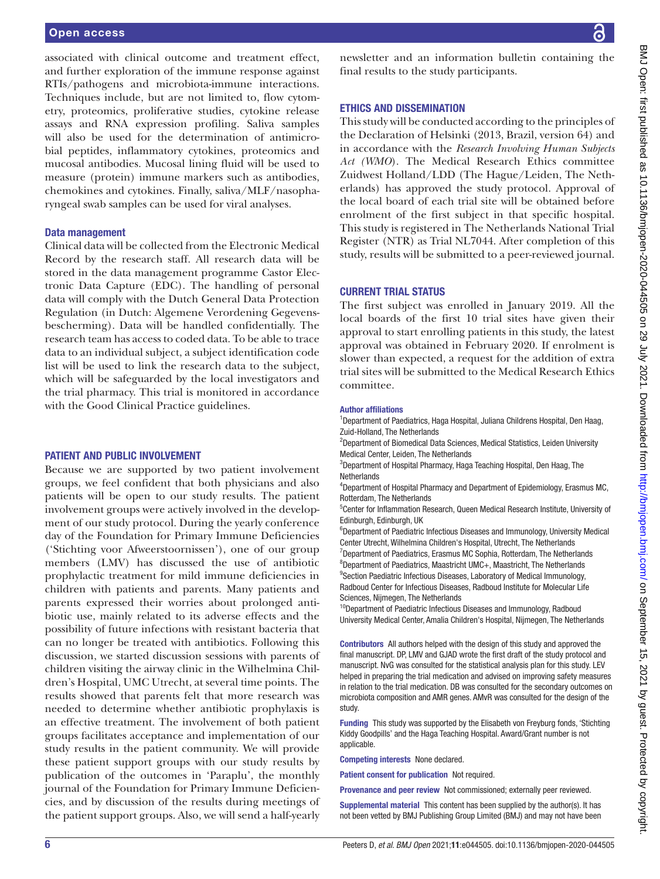#### Open access

associated with clinical outcome and treatment effect, and further exploration of the immune response against RTIs/pathogens and microbiota-immune interactions. Techniques include, but are not limited to, flow cytometry, proteomics, proliferative studies, cytokine release assays and RNA expression profiling. Saliva samples will also be used for the determination of antimicrobial peptides, inflammatory cytokines, proteomics and mucosal antibodies. Mucosal lining fluid will be used to measure (protein) immune markers such as antibodies, chemokines and cytokines. Finally, saliva/MLF/nasopharyngeal swab samples can be used for viral analyses.

#### Data management

Clinical data will be collected from the Electronic Medical Record by the research staff. All research data will be stored in the data management programme Castor Electronic Data Capture (EDC). The handling of personal data will comply with the Dutch General Data Protection Regulation (in Dutch: Algemene Verordening Gegevensbescherming). Data will be handled confidentially. The research team has access to coded data. To be able to trace data to an individual subject, a subject identification code list will be used to link the research data to the subject, which will be safeguarded by the local investigators and the trial pharmacy. This trial is monitored in accordance with the Good Clinical Practice guidelines.

#### PATIENT AND PUBLIC INVOLVEMENT

Because we are supported by two patient involvement groups, we feel confident that both physicians and also patients will be open to our study results. The patient involvement groups were actively involved in the development of our study protocol. During the yearly conference day of the Foundation for Primary Immune Deficiencies ('Stichting voor Afweerstoornissen'), one of our group members (LMV) has discussed the use of antibiotic prophylactic treatment for mild immune deficiencies in children with patients and parents. Many patients and parents expressed their worries about prolonged antibiotic use, mainly related to its adverse effects and the possibility of future infections with resistant bacteria that can no longer be treated with antibiotics. Following this discussion, we started discussion sessions with parents of children visiting the airway clinic in the Wilhelmina Children's Hospital, UMC Utrecht, at several time points. The results showed that parents felt that more research was needed to determine whether antibiotic prophylaxis is an effective treatment. The involvement of both patient groups facilitates acceptance and implementation of our study results in the patient community. We will provide these patient support groups with our study results by publication of the outcomes in 'Paraplu', the monthly journal of the Foundation for Primary Immune Deficiencies, and by discussion of the results during meetings of the patient support groups. Also, we will send a half-yearly newsletter and an information bulletin containing the final results to the study participants.

#### ETHICS AND DISSEMINATION

This study will be conducted according to the principles of the Declaration of Helsinki (2013, Brazil, version 64) and in accordance with the *Research Involving Human Subjects Act (WMO*). The Medical Research Ethics committee Zuidwest Holland/LDD (The Hague/Leiden, The Netherlands) has approved the study protocol. Approval of the local board of each trial site will be obtained before enrolment of the first subject in that specific hospital. This study is registered in The Netherlands National Trial Register (NTR) as Trial NL7044. After completion of this study, results will be submitted to a peer-reviewed journal.

#### CURRENT TRIAL STATUS

The first subject was enrolled in January 2019. All the local boards of the first 10 trial sites have given their approval to start enrolling patients in this study, the latest approval was obtained in February 2020. If enrolment is slower than expected, a request for the addition of extra trial sites will be submitted to the Medical Research Ethics committee.

#### Author affiliations

<sup>1</sup>Department of Paediatrics, Haga Hospital, Juliana Childrens Hospital, Den Haag, Zuid-Holland, The Netherlands

<sup>2</sup>Department of Biomedical Data Sciences, Medical Statistics, Leiden University Medical Center, Leiden, The Netherlands

3 Department of Hospital Pharmacy, Haga Teaching Hospital, Den Haag, The **Netherlands** 

4 Department of Hospital Pharmacy and Department of Epidemiology, Erasmus MC, Rotterdam, The Netherlands

<sup>5</sup>Center for Inflammation Research, Queen Medical Research Institute, University of Edinburgh, Edinburgh, UK

<sup>6</sup>Department of Paediatric Infectious Diseases and Immunology, University Medical Center Utrecht, Wilhelmina Children's Hospital, Utrecht, The Netherlands

<sup>7</sup>Department of Paediatrics, Erasmus MC Sophia, Rotterdam, The Netherlands 8 Department of Paediatrics, Maastricht UMC+, Maastricht, The Netherlands <sup>9</sup>Section Paediatric Infectious Diseases, Laboratory of Medical Immunology, Radboud Center for Infectious Diseases, Radboud Institute for Molecular Life Sciences, Nijmegen, The Netherlands

<sup>10</sup>Department of Paediatric Infectious Diseases and Immunology, Radboud University Medical Center, Amalia Children's Hospital, Nijmegen, The Netherlands

Contributors All authors helped with the design of this study and approved the final manuscript. DP, LMV and GJAD wrote the first draft of the study protocol and manuscript. NvG was consulted for the statistical analysis plan for this study. LEV helped in preparing the trial medication and advised on improving safety measures in relation to the trial medication. DB was consulted for the secondary outcomes on microbiota composition and AMR genes. AMvR was consulted for the design of the study.

Funding This study was supported by the Elisabeth von Freyburg fonds, 'Stichting Kiddy Goodpills' and the Haga Teaching Hospital. Award/Grant number is not applicable.

Competing interests None declared.

Patient consent for publication Not required.

Provenance and peer review Not commissioned; externally peer reviewed.

Supplemental material This content has been supplied by the author(s). It has not been vetted by BMJ Publishing Group Limited (BMJ) and may not have been